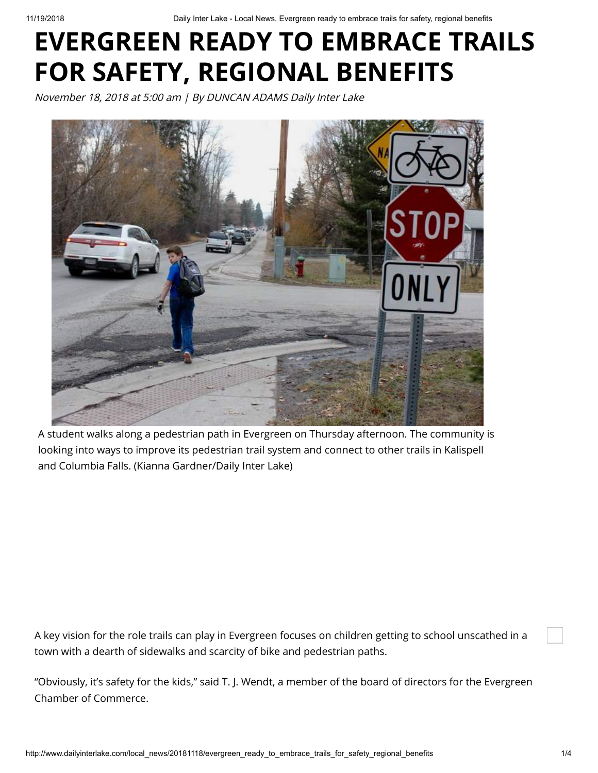# **EVERGREEN READY TO EMBRACE TRAILS FOR SAFETY, REGIONAL BENEFITS**

November 18, 2018 at 5:00 am | By DUNCAN ADAMS Daily Inter Lake



A student walks along a pedestrian path in Evergreen on Thursday afternoon. The community is looking into ways to improve its pedestrian trail system and connect to other trails in Kalispell and Columbia Falls. (Kianna Gardner/Daily Inter Lake)

A key vision for the role trails can play in Evergreen focuses on children getting to school unscathed in a town with a dearth of sidewalks and scarcity of bike and pedestrian paths.

"Obviously, it's safety for the kids," said T. J. Wendt, a member of the board of directors for the Evergreen Chamber of Commerce.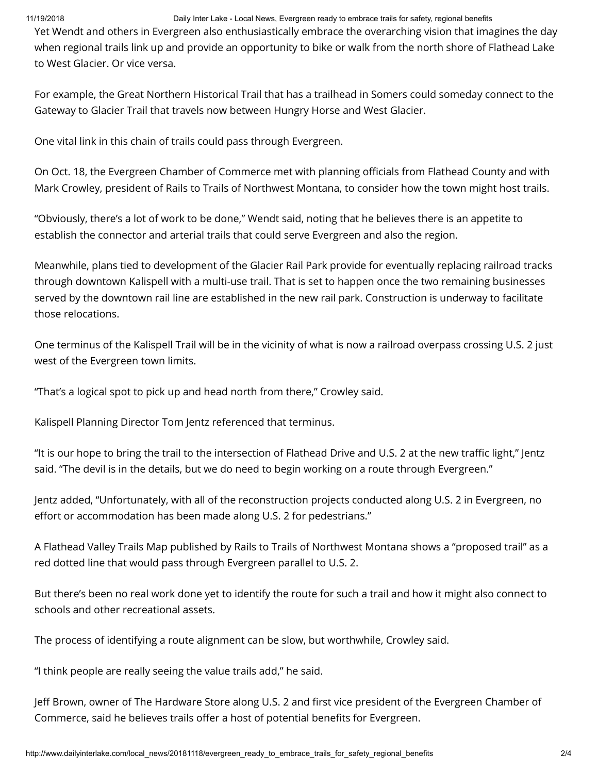# 11/19/2018 Daily Inter Lake - Local News, Evergreen ready to embrace trails for safety, regional benefits

Yet Wendt and others in Evergreen also enthusiastically embrace the overarching vision that imagines the day when regional trails link up and provide an opportunity to bike or walk from the north shore of Flathead Lake to West Glacier. Or vice versa.

For example, the Great Northern Historical Trail that has a trailhead in Somers could someday connect to the Gateway to Glacier Trail that travels now between Hungry Horse and West Glacier.

One vital link in this chain of trails could pass through Evergreen.

On Oct. 18, the Evergreen Chamber of Commerce met with planning officials from Flathead County and with Mark Crowley, president of Rails to Trails of Northwest Montana, to consider how the town might host trails.

"Obviously, there's a lot of work to be done," Wendt said, noting that he believes there is an appetite to establish the connector and arterial trails that could serve Evergreen and also the region.

Meanwhile, plans tied to development of the Glacier Rail Park provide for eventually replacing railroad tracks through downtown Kalispell with a multi-use trail. That is set to happen once the two remaining businesses served by the downtown rail line are established in the new rail park. Construction is underway to facilitate those relocations.

One terminus of the Kalispell Trail will be in the vicinity of what is now a railroad overpass crossing U.S. 2 just west of the Evergreen town limits.

"That's a logical spot to pick up and head north from there," Crowley said.

Kalispell Planning Director Tom Jentz referenced that terminus.

"It is our hope to bring the trail to the intersection of Flathead Drive and U.S. 2 at the new traffic light," Jentz said. "The devil is in the details, but we do need to begin working on a route through Evergreen."

Jentz added, "Unfortunately, with all of the reconstruction projects conducted along U.S. 2 in Evergreen, no effort or accommodation has been made along U.S. 2 for pedestrians."

A Flathead Valley Trails Map published by Rails to Trails of Northwest Montana shows a "proposed trail" as a red dotted line that would pass through Evergreen parallel to U.S. 2.

But there's been no real work done yet to identify the route for such a trail and how it might also connect to schools and other recreational assets.

The process of identifying a route alignment can be slow, but worthwhile, Crowley said.

"I think people are really seeing the value trails add," he said.

Jeff Brown, owner of The Hardware Store along U.S. 2 and first vice president of the Evergreen Chamber of Commerce, said he believes trails offer a host of potential benefits for Evergreen.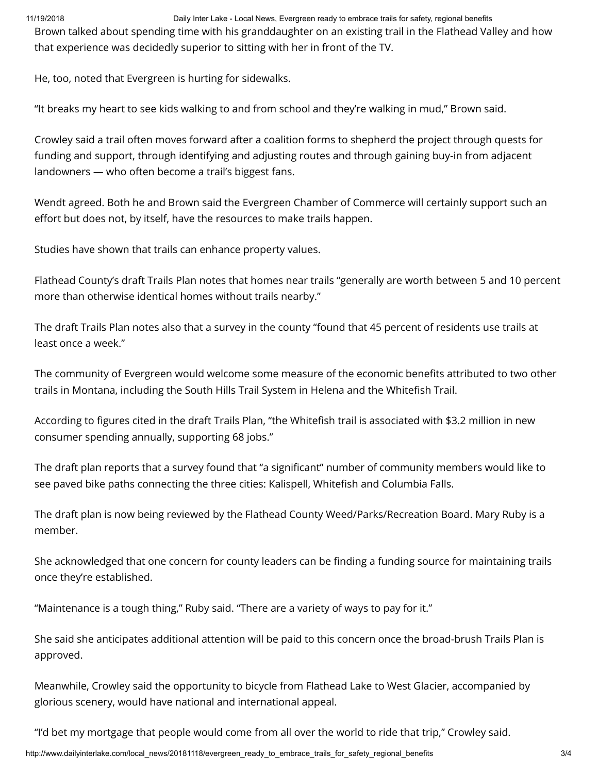11/19/2018 Daily Inter Lake - Local News, Evergreen ready to embrace trails for safety, regional benefits

Brown talked about spending time with his granddaughter on an existing trail in the Flathead Valley and how that experience was decidedly superior to sitting with her in front of the TV.

He, too, noted that Evergreen is hurting for sidewalks.

"It breaks my heart to see kids walking to and from school and they're walking in mud," Brown said.

Crowley said a trail often moves forward after a coalition forms to shepherd the project through quests for funding and support, through identifying and adjusting routes and through gaining buy-in from adjacent landowners — who often become a trail's biggest fans.

Wendt agreed. Both he and Brown said the Evergreen Chamber of Commerce will certainly support such an effort but does not, by itself, have the resources to make trails happen.

Studies have shown that trails can enhance property values.

Flathead County's draft Trails Plan notes that homes near trails "generally are worth between 5 and 10 percent more than otherwise identical homes without trails nearby."

The draft Trails Plan notes also that a survey in the county "found that 45 percent of residents use trails at least once a week."

The community of Evergreen would welcome some measure of the economic benefits attributed to two other trails in Montana, including the South Hills Trail System in Helena and the Whitefish Trail.

According to figures cited in the draft Trails Plan, "the Whitefish trail is associated with \$3.2 million in new consumer spending annually, supporting 68 jobs."

The draft plan reports that a survey found that "a significant" number of community members would like to see paved bike paths connecting the three cities: Kalispell, Whitefish and Columbia Falls.

The draft plan is now being reviewed by the Flathead County Weed/Parks/Recreation Board. Mary Ruby is a member.

She acknowledged that one concern for county leaders can be finding a funding source for maintaining trails once they're established.

"Maintenance is a tough thing," Ruby said. "There are a variety of ways to pay for it."

She said she anticipates additional attention will be paid to this concern once the broad-brush Trails Plan is approved.

Meanwhile, Crowley said the opportunity to bicycle from Flathead Lake to West Glacier, accompanied by glorious scenery, would have national and international appeal.

"I'd bet my mortgage that people would come from all over the world to ride that trip," Crowley said.